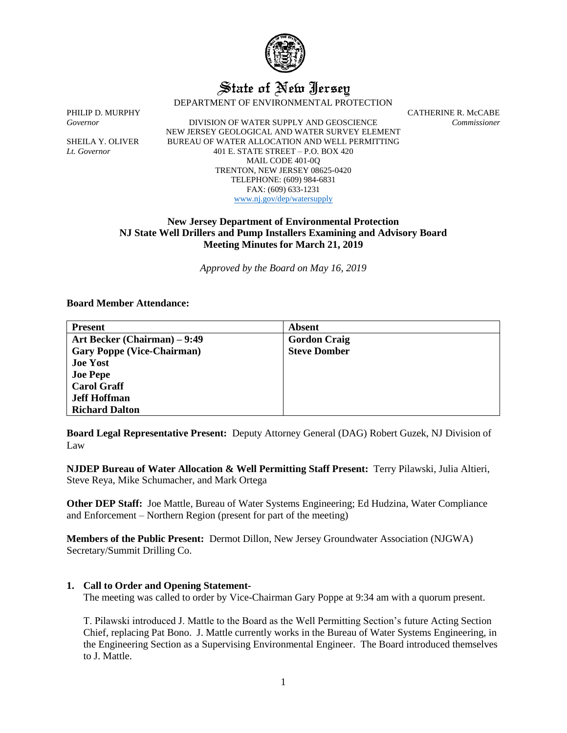

# State of New Jersey

DEPARTMENT OF ENVIRONMENTAL PROTECTION

*Governor* DIVISION OF WATER SUPPLY AND GEOSCIENCE *Commissioner* NEW JERSEY GEOLOGICAL AND WATER SURVEY ELEMENT SHEILA Y. OLIVER BUREAU OF WATER ALLOCATION AND WELL PERMITTING *Lt. Governor* 401 E. STATE STREET – P.O. BOX 420 MAIL CODE 401-0Q TRENTON, NEW JERSEY 08625-0420 TELEPHONE: (609) 984-6831 FAX: (609) 633-1231 [www.nj.gov/dep/watersupply](http://www.nj.gov/dep/watersupply)

PHILIP D. MURPHY CATHERINE R. McCABE

# **New Jersey Department of Environmental Protection NJ State Well Drillers and Pump Installers Examining and Advisory Board Meeting Minutes for March 21, 2019**

*Approved by the Board on May 16, 2019*

## **Board Member Attendance:**

| <b>Present</b>                    | <b>Absent</b>       |
|-----------------------------------|---------------------|
| Art Becker (Chairman) – 9:49      | <b>Gordon Craig</b> |
| <b>Gary Poppe (Vice-Chairman)</b> | <b>Steve Domber</b> |
| <b>Joe Yost</b>                   |                     |
| <b>Joe Pepe</b>                   |                     |
| <b>Carol Graff</b>                |                     |
| <b>Jeff Hoffman</b>               |                     |
| <b>Richard Dalton</b>             |                     |

**Board Legal Representative Present:** Deputy Attorney General (DAG) Robert Guzek, NJ Division of Law

**NJDEP Bureau of Water Allocation & Well Permitting Staff Present:** Terry Pilawski, Julia Altieri, Steve Reya, Mike Schumacher, and Mark Ortega

**Other DEP Staff:** Joe Mattle, Bureau of Water Systems Engineering; Ed Hudzina, Water Compliance and Enforcement – Northern Region (present for part of the meeting)

**Members of the Public Present:** Dermot Dillon, New Jersey Groundwater Association (NJGWA) Secretary/Summit Drilling Co.

# **1. Call to Order and Opening Statement-**

The meeting was called to order by Vice-Chairman Gary Poppe at 9:34 am with a quorum present.

T. Pilawski introduced J. Mattle to the Board as the Well Permitting Section's future Acting Section Chief, replacing Pat Bono. J. Mattle currently works in the Bureau of Water Systems Engineering, in the Engineering Section as a Supervising Environmental Engineer. The Board introduced themselves to J. Mattle.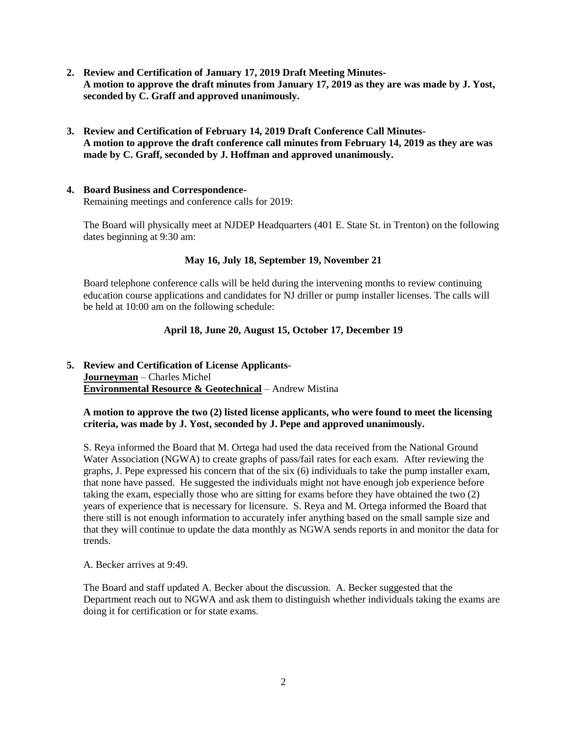- **2. Review and Certification of January 17, 2019 Draft Meeting Minutes-A motion to approve the draft minutes from January 17, 2019 as they are was made by J. Yost, seconded by C. Graff and approved unanimously.**
- **3. Review and Certification of February 14, 2019 Draft Conference Call Minutes-A motion to approve the draft conference call minutes from February 14, 2019 as they are was made by C. Graff, seconded by J. Hoffman and approved unanimously.**
- **4. Board Business and Correspondence-**Remaining meetings and conference calls for 2019:

The Board will physically meet at NJDEP Headquarters (401 E. State St. in Trenton) on the following dates beginning at 9:30 am:

# **May 16, July 18, September 19, November 21**

Board telephone conference calls will be held during the intervening months to review continuing education course applications and candidates for NJ driller or pump installer licenses. The calls will be held at 10:00 am on the following schedule:

# **April 18, June 20, August 15, October 17, December 19**

# **5. Review and Certification of License Applicants-Journeyman** – Charles Michel **Environmental Resource & Geotechnical** – Andrew Mistina

# **A motion to approve the two (2) listed license applicants, who were found to meet the licensing criteria, was made by J. Yost, seconded by J. Pepe and approved unanimously.**

S. Reya informed the Board that M. Ortega had used the data received from the National Ground Water Association (NGWA) to create graphs of pass/fail rates for each exam. After reviewing the graphs, J. Pepe expressed his concern that of the six (6) individuals to take the pump installer exam, that none have passed. He suggested the individuals might not have enough job experience before taking the exam, especially those who are sitting for exams before they have obtained the two (2) years of experience that is necessary for licensure. S. Reya and M. Ortega informed the Board that there still is not enough information to accurately infer anything based on the small sample size and that they will continue to update the data monthly as NGWA sends reports in and monitor the data for trends.

A. Becker arrives at 9:49.

The Board and staff updated A. Becker about the discussion. A. Becker suggested that the Department reach out to NGWA and ask them to distinguish whether individuals taking the exams are doing it for certification or for state exams.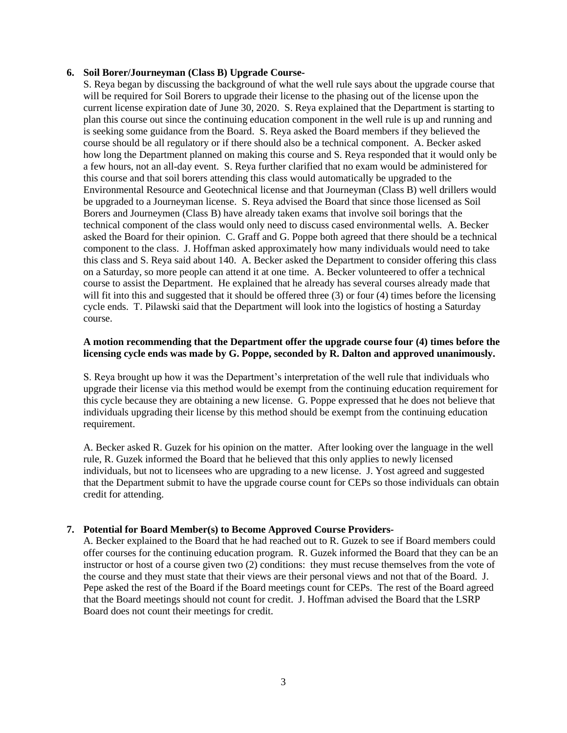## **6. Soil Borer/Journeyman (Class B) Upgrade Course-**

S. Reya began by discussing the background of what the well rule says about the upgrade course that will be required for Soil Borers to upgrade their license to the phasing out of the license upon the current license expiration date of June 30, 2020. S. Reya explained that the Department is starting to plan this course out since the continuing education component in the well rule is up and running and is seeking some guidance from the Board. S. Reya asked the Board members if they believed the course should be all regulatory or if there should also be a technical component. A. Becker asked how long the Department planned on making this course and S. Reya responded that it would only be a few hours, not an all-day event. S. Reya further clarified that no exam would be administered for this course and that soil borers attending this class would automatically be upgraded to the Environmental Resource and Geotechnical license and that Journeyman (Class B) well drillers would be upgraded to a Journeyman license. S. Reya advised the Board that since those licensed as Soil Borers and Journeymen (Class B) have already taken exams that involve soil borings that the technical component of the class would only need to discuss cased environmental wells. A. Becker asked the Board for their opinion. C. Graff and G. Poppe both agreed that there should be a technical component to the class. J. Hoffman asked approximately how many individuals would need to take this class and S. Reya said about 140. A. Becker asked the Department to consider offering this class on a Saturday, so more people can attend it at one time. A. Becker volunteered to offer a technical course to assist the Department. He explained that he already has several courses already made that will fit into this and suggested that it should be offered three (3) or four (4) times before the licensing cycle ends. T. Pilawski said that the Department will look into the logistics of hosting a Saturday course.

# **A motion recommending that the Department offer the upgrade course four (4) times before the licensing cycle ends was made by G. Poppe, seconded by R. Dalton and approved unanimously.**

S. Reya brought up how it was the Department's interpretation of the well rule that individuals who upgrade their license via this method would be exempt from the continuing education requirement for this cycle because they are obtaining a new license. G. Poppe expressed that he does not believe that individuals upgrading their license by this method should be exempt from the continuing education requirement.

A. Becker asked R. Guzek for his opinion on the matter. After looking over the language in the well rule, R. Guzek informed the Board that he believed that this only applies to newly licensed individuals, but not to licensees who are upgrading to a new license. J. Yost agreed and suggested that the Department submit to have the upgrade course count for CEPs so those individuals can obtain credit for attending.

# **7. Potential for Board Member(s) to Become Approved Course Providers-**

A. Becker explained to the Board that he had reached out to R. Guzek to see if Board members could offer courses for the continuing education program. R. Guzek informed the Board that they can be an instructor or host of a course given two (2) conditions: they must recuse themselves from the vote of the course and they must state that their views are their personal views and not that of the Board. J. Pepe asked the rest of the Board if the Board meetings count for CEPs. The rest of the Board agreed that the Board meetings should not count for credit. J. Hoffman advised the Board that the LSRP Board does not count their meetings for credit.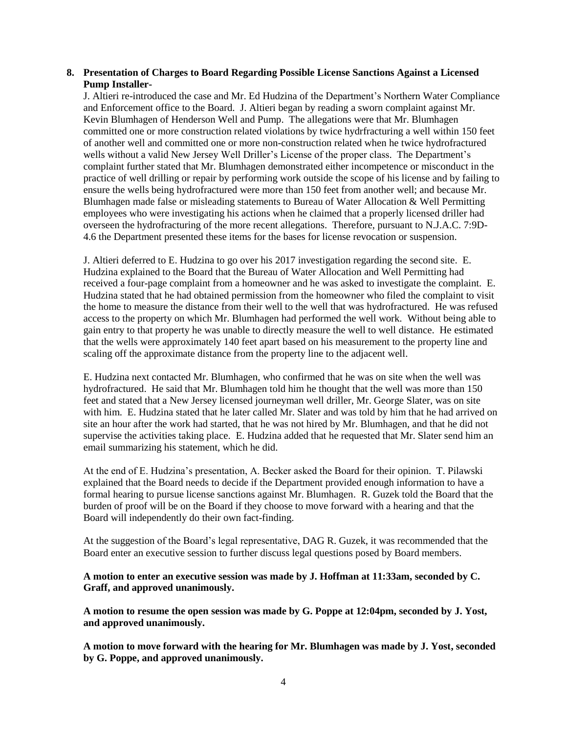## **8. Presentation of Charges to Board Regarding Possible License Sanctions Against a Licensed Pump Installer-**

J. Altieri re-introduced the case and Mr. Ed Hudzina of the Department's Northern Water Compliance and Enforcement office to the Board. J. Altieri began by reading a sworn complaint against Mr. Kevin Blumhagen of Henderson Well and Pump. The allegations were that Mr. Blumhagen committed one or more construction related violations by twice hydrfracturing a well within 150 feet of another well and committed one or more non-construction related when he twice hydrofractured wells without a valid New Jersey Well Driller's License of the proper class. The Department's complaint further stated that Mr. Blumhagen demonstrated either incompetence or misconduct in the practice of well drilling or repair by performing work outside the scope of his license and by failing to ensure the wells being hydrofractured were more than 150 feet from another well; and because Mr. Blumhagen made false or misleading statements to Bureau of Water Allocation & Well Permitting employees who were investigating his actions when he claimed that a properly licensed driller had overseen the hydrofracturing of the more recent allegations. Therefore, pursuant to N.J.A.C. 7:9D-4.6 the Department presented these items for the bases for license revocation or suspension.

J. Altieri deferred to E. Hudzina to go over his 2017 investigation regarding the second site. E. Hudzina explained to the Board that the Bureau of Water Allocation and Well Permitting had received a four-page complaint from a homeowner and he was asked to investigate the complaint. E. Hudzina stated that he had obtained permission from the homeowner who filed the complaint to visit the home to measure the distance from their well to the well that was hydrofractured. He was refused access to the property on which Mr. Blumhagen had performed the well work. Without being able to gain entry to that property he was unable to directly measure the well to well distance. He estimated that the wells were approximately 140 feet apart based on his measurement to the property line and scaling off the approximate distance from the property line to the adjacent well.

E. Hudzina next contacted Mr. Blumhagen, who confirmed that he was on site when the well was hydrofractured. He said that Mr. Blumhagen told him he thought that the well was more than 150 feet and stated that a New Jersey licensed journeyman well driller, Mr. George Slater, was on site with him. E. Hudzina stated that he later called Mr. Slater and was told by him that he had arrived on site an hour after the work had started, that he was not hired by Mr. Blumhagen, and that he did not supervise the activities taking place. E. Hudzina added that he requested that Mr. Slater send him an email summarizing his statement, which he did.

At the end of E. Hudzina's presentation, A. Becker asked the Board for their opinion. T. Pilawski explained that the Board needs to decide if the Department provided enough information to have a formal hearing to pursue license sanctions against Mr. Blumhagen. R. Guzek told the Board that the burden of proof will be on the Board if they choose to move forward with a hearing and that the Board will independently do their own fact-finding.

At the suggestion of the Board's legal representative, DAG R. Guzek, it was recommended that the Board enter an executive session to further discuss legal questions posed by Board members.

**A motion to enter an executive session was made by J. Hoffman at 11:33am, seconded by C. Graff, and approved unanimously.**

**A motion to resume the open session was made by G. Poppe at 12:04pm, seconded by J. Yost, and approved unanimously.**

**A motion to move forward with the hearing for Mr. Blumhagen was made by J. Yost, seconded by G. Poppe, and approved unanimously.**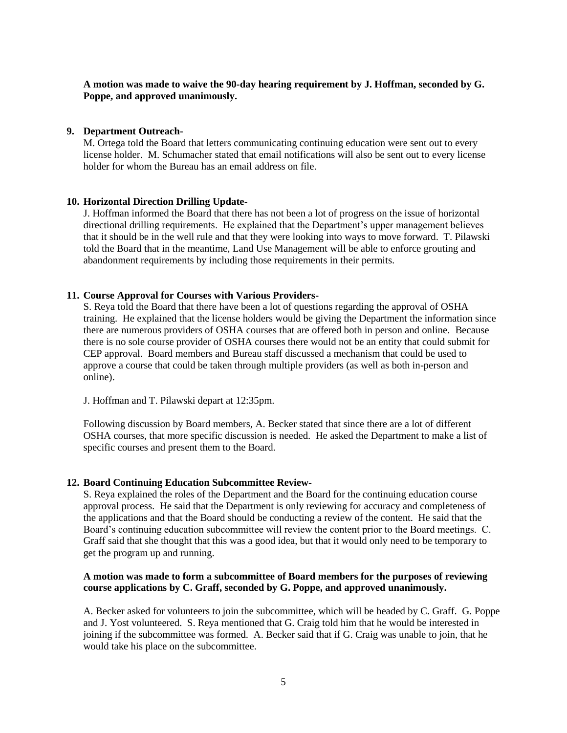**A motion was made to waive the 90-day hearing requirement by J. Hoffman, seconded by G. Poppe, and approved unanimously.**

#### **9. Department Outreach-**

M. Ortega told the Board that letters communicating continuing education were sent out to every license holder. M. Schumacher stated that email notifications will also be sent out to every license holder for whom the Bureau has an email address on file.

#### **10. Horizontal Direction Drilling Update-**

J. Hoffman informed the Board that there has not been a lot of progress on the issue of horizontal directional drilling requirements. He explained that the Department's upper management believes that it should be in the well rule and that they were looking into ways to move forward. T. Pilawski told the Board that in the meantime, Land Use Management will be able to enforce grouting and abandonment requirements by including those requirements in their permits.

#### **11. Course Approval for Courses with Various Providers-**

S. Reya told the Board that there have been a lot of questions regarding the approval of OSHA training. He explained that the license holders would be giving the Department the information since there are numerous providers of OSHA courses that are offered both in person and online. Because there is no sole course provider of OSHA courses there would not be an entity that could submit for CEP approval. Board members and Bureau staff discussed a mechanism that could be used to approve a course that could be taken through multiple providers (as well as both in-person and online).

J. Hoffman and T. Pilawski depart at 12:35pm.

Following discussion by Board members, A. Becker stated that since there are a lot of different OSHA courses, that more specific discussion is needed. He asked the Department to make a list of specific courses and present them to the Board.

#### **12. Board Continuing Education Subcommittee Review-**

S. Reya explained the roles of the Department and the Board for the continuing education course approval process. He said that the Department is only reviewing for accuracy and completeness of the applications and that the Board should be conducting a review of the content. He said that the Board's continuing education subcommittee will review the content prior to the Board meetings. C. Graff said that she thought that this was a good idea, but that it would only need to be temporary to get the program up and running.

## **A motion was made to form a subcommittee of Board members for the purposes of reviewing course applications by C. Graff, seconded by G. Poppe, and approved unanimously.**

A. Becker asked for volunteers to join the subcommittee, which will be headed by C. Graff. G. Poppe and J. Yost volunteered. S. Reya mentioned that G. Craig told him that he would be interested in joining if the subcommittee was formed. A. Becker said that if G. Craig was unable to join, that he would take his place on the subcommittee.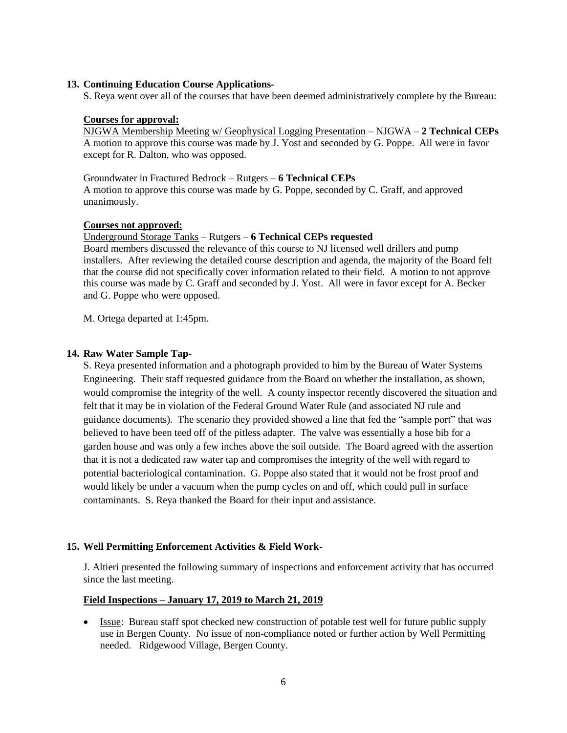## **13. Continuing Education Course Applications-**

S. Reya went over all of the courses that have been deemed administratively complete by the Bureau:

## **Courses for approval:**

NJGWA Membership Meeting w/ Geophysical Logging Presentation – NJGWA – **2 Technical CEPs** A motion to approve this course was made by J. Yost and seconded by G. Poppe. All were in favor except for R. Dalton, who was opposed.

## Groundwater in Fractured Bedrock – Rutgers – **6 Technical CEPs**

A motion to approve this course was made by G. Poppe, seconded by C. Graff, and approved unanimously.

## **Courses not approved:**

## Underground Storage Tanks – Rutgers – **6 Technical CEPs requested**

Board members discussed the relevance of this course to NJ licensed well drillers and pump installers. After reviewing the detailed course description and agenda, the majority of the Board felt that the course did not specifically cover information related to their field. A motion to not approve this course was made by C. Graff and seconded by J. Yost. All were in favor except for A. Becker and G. Poppe who were opposed.

M. Ortega departed at 1:45pm.

## **14. Raw Water Sample Tap-**

S. Reya presented information and a photograph provided to him by the Bureau of Water Systems Engineering. Their staff requested guidance from the Board on whether the installation, as shown, would compromise the integrity of the well. A county inspector recently discovered the situation and felt that it may be in violation of the Federal Ground Water Rule (and associated NJ rule and guidance documents). The scenario they provided showed a line that fed the "sample port" that was believed to have been teed off of the pitless adapter. The valve was essentially a hose bib for a garden house and was only a few inches above the soil outside. The Board agreed with the assertion that it is not a dedicated raw water tap and compromises the integrity of the well with regard to potential bacteriological contamination. G. Poppe also stated that it would not be frost proof and would likely be under a vacuum when the pump cycles on and off, which could pull in surface contaminants. S. Reya thanked the Board for their input and assistance.

# **15. Well Permitting Enforcement Activities & Field Work-**

J. Altieri presented the following summary of inspections and enforcement activity that has occurred since the last meeting.

## **Field Inspections – January 17, 2019 to March 21, 2019**

• Issue: Bureau staff spot checked new construction of potable test well for future public supply use in Bergen County. No issue of non-compliance noted or further action by Well Permitting needed. Ridgewood Village, Bergen County.